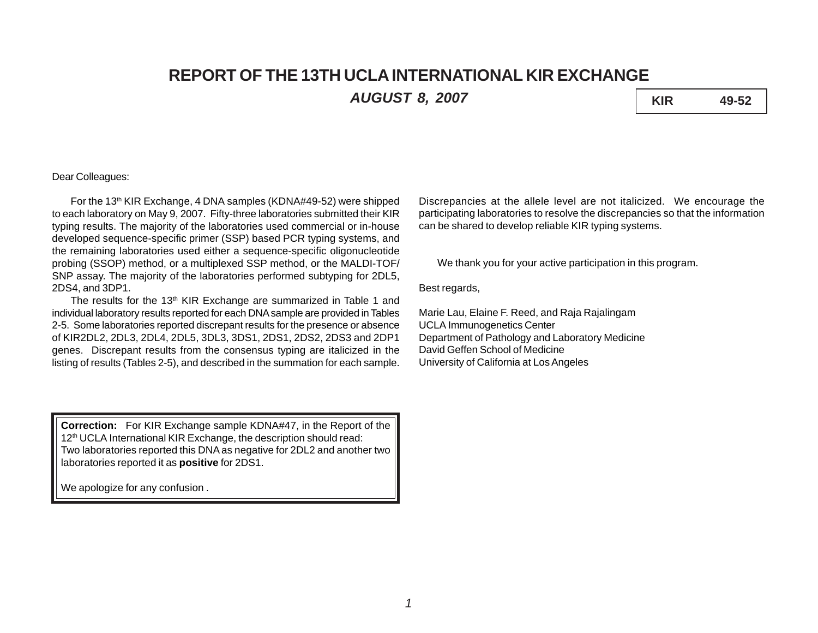# **REPORT OF THE 13TH UCLA INTERNATIONAL KIR EXCHANGE**

*AUGUST 8, 2007* **KIR 49-52**

### Dear Colleagues:

For the 13<sup>th</sup> KIR Exchange, 4 DNA samples (KDNA#49-52) were shipped to each laboratory on May 9, 2007. Fifty-three laboratories submitted their KIR typing results. The majority of the laboratories used commercial or in-house developed sequence-specific primer (SSP) based PCR typing systems, and the remaining laboratories used either a sequence-specific oligonucleotide probing (SSOP) method, or a multiplexed SSP method, or the MALDI-TOF/ SNP assay. The majority of the laboratories performed subtyping for 2DL5, 2DS4, and 3DP1.

The results for the 13<sup>th</sup> KIR Exchange are summarized in Table 1 and individual laboratory results reported for each DNA sample are provided in Tables 2-5. Some laboratories reported discrepant results for the presence or absence of KIR2DL2, 2DL3, 2DL4, 2DL5, 3DL3, 3DS1, 2DS1, 2DS2, 2DS3 and 2DP1 genes. Discrepant results from the consensus typing are italicized in the listing of results (Tables 2-5), and described in the summation for each sample.

**Correction:** For KIR Exchange sample KDNA#47, in the Report of the 12<sup>th</sup> UCLA International KIR Exchange, the description should read: Two laboratories reported this DNA as negative for 2DL2 and another two laboratories reported it as **positive** for 2DS1.

We apologize for any confusion .

Discrepancies at the allele level are not italicized. We encourage the participating laboratories to resolve the discrepancies so that the information can be shared to develop reliable KIR typing systems.

We thank you for your active participation in this program.

Best regards,

Marie Lau, Elaine F. Reed, and Raja Rajalingam UCLA Immunogenetics Center Department of Pathology and Laboratory Medicine David Geffen School of Medicine University of California at Los Angeles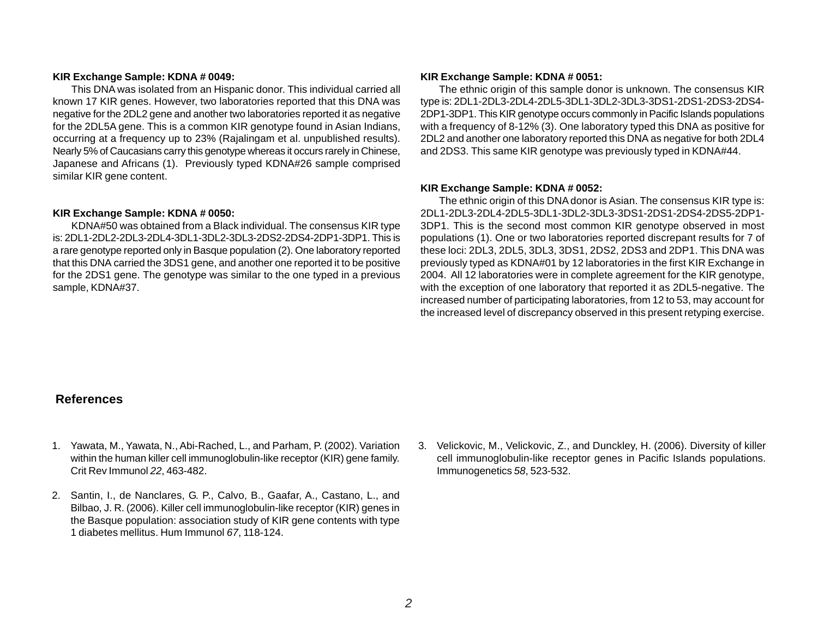#### **KIR Exchange Sample: KDNA # 0049:**

This DNA was isolated from an Hispanic donor. This individual carried all known 17 KIR genes. However, two laboratories reported that this DNA was negative for the 2DL2 gene and another two laboratories reported it as negative for the 2DL5A gene. This is a common KIR genotype found in Asian Indians, occurring at a frequency up to 23% (Rajalingam et al. unpublished results). Nearly 5% of Caucasians carry this genotype whereas it occurs rarely in Chinese, Japanese and Africans (1). Previously typed KDNA#26 sample comprised similar KIR gene content.

#### **KIR Exchange Sample: KDNA # 0050:**

KDNA#50 was obtained from a Black individual. The consensus KIR type is: 2DL1-2DL2-2DL3-2DL4-3DL1-3DL2-3DL3-2DS2-2DS4-2DP1-3DP1. This is a rare genotype reported only in Basque population (2). One laboratory reported that this DNA carried the 3DS1 gene, and another one reported it to be positive for the 2DS1 gene. The genotype was similar to the one typed in a previous sample, KDNA#37.

#### **KIR Exchange Sample: KDNA # 0051:**

The ethnic origin of this sample donor is unknown. The consensus KIR type is: 2DL1-2DL3-2DL4-2DL5-3DL1-3DL2-3DL3-3DS1-2DS1-2DS3-2DS4- 2DP1-3DP1. This KIR genotype occurs commonly in Pacific Islands populations with a frequency of 8-12% (3). One laboratory typed this DNA as positive for 2DL2 and another one laboratory reported this DNA as negative for both 2DL4 and 2DS3. This same KIR genotype was previously typed in KDNA#44.

#### **KIR Exchange Sample: KDNA # 0052:**

The ethnic origin of this DNA donor is Asian. The consensus KIR type is: 2DL1-2DL3-2DL4-2DL5-3DL1-3DL2-3DL3-3DS1-2DS1-2DS4-2DS5-2DP1- 3DP1. This is the second most common KIR genotype observed in most populations (1). One or two laboratories reported discrepant results for 7 of these loci: 2DL3, 2DL5, 3DL3, 3DS1, 2DS2, 2DS3 and 2DP1. This DNA was previously typed as KDNA#01 by 12 laboratories in the first KIR Exchange in 2004. All 12 laboratories were in complete agreement for the KIR genotype, with the exception of one laboratory that reported it as 2DL5-negative. The increased number of participating laboratories, from 12 to 53, may account for the increased level of discrepancy observed in this present retyping exercise.

## **References**

- 1. Yawata, M., Yawata, N., Abi-Rached, L., and Parham, P. (2002). Variation within the human killer cell immunoglobulin-like receptor (KIR) gene family. Crit Rev Immunol *22*, 463-482.
- 2. Santin, I., de Nanclares, G. P., Calvo, B., Gaafar, A., Castano, L., and Bilbao, J. R. (2006). Killer cell immunoglobulin-like receptor (KIR) genes in the Basque population: association study of KIR gene contents with type 1 diabetes mellitus. Hum Immunol *67*, 118-124.
- 3. Velickovic, M., Velickovic, Z., and Dunckley, H. (2006). Diversity of killer cell immunoglobulin-like receptor genes in Pacific Islands populations. Immunogenetics *58*, 523-532.